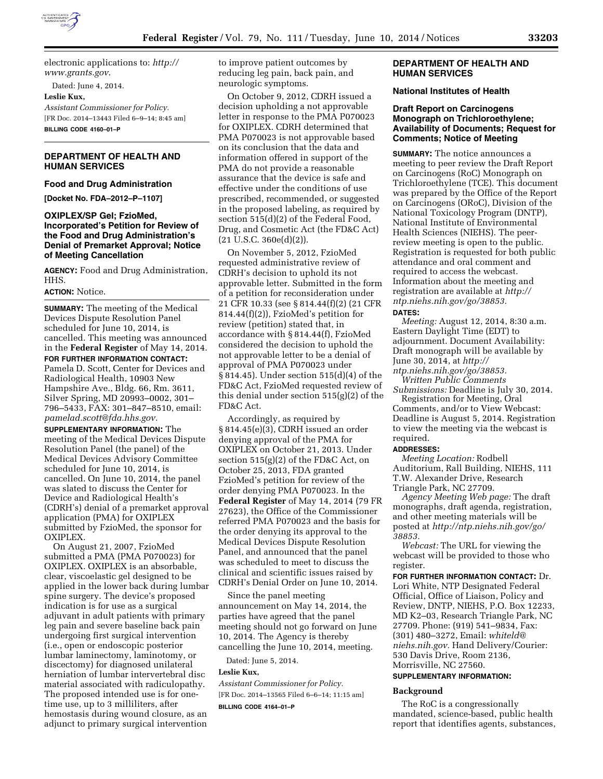

electronic applications to: *[http://](http://www.grants.gov) [www.grants.gov](http://www.grants.gov)*. Dated: June 4, 2014. **Leslie Kux,** 

*Assistant Commissioner for Policy.* 

[FR Doc. 2014–13443 Filed 6–9–14; 8:45 am] **BILLING CODE 4160–01–P** 

# **DEPARTMENT OF HEALTH AND HUMAN SERVICES**

#### **Food and Drug Administration**

**[Docket No. FDA–2012–P–1107]** 

# **OXIPLEX/SP Gel; FzioMed, Incorporated's Petition for Review of the Food and Drug Administration's Denial of Premarket Approval; Notice of Meeting Cancellation**

**AGENCY:** Food and Drug Administration, HHS.

# **ACTION:** Notice.

**SUMMARY:** The meeting of the Medical Devices Dispute Resolution Panel scheduled for June 10, 2014, is cancelled. This meeting was announced in the **Federal Register** of May 14, 2014.

**FOR FURTHER INFORMATION CONTACT:**  Pamela D. Scott, Center for Devices and Radiological Health, 10903 New Hampshire Ave., Bldg. 66, Rm. 3611, Silver Spring, MD 20993–0002, 301– 796–5433, FAX: 301–847–8510, email: *[pamelad.scott@fda.hhs.gov.](mailto:pamelad.scott@fda.hhs.gov)* 

**SUPPLEMENTARY INFORMATION:** The meeting of the Medical Devices Dispute Resolution Panel (the panel) of the Medical Devices Advisory Committee scheduled for June 10, 2014, is cancelled. On June 10, 2014, the panel was slated to discuss the Center for Device and Radiological Health's (CDRH's) denial of a premarket approval application (PMA) for OXIPLEX submitted by FzioMed, the sponsor for OXIPLEX.

On August 21, 2007, FzioMed submitted a PMA (PMA P070023) for OXIPLEX. OXIPLEX is an absorbable, clear, viscoelastic gel designed to be applied in the lower back during lumbar spine surgery. The device's proposed indication is for use as a surgical adjuvant in adult patients with primary leg pain and severe baseline back pain undergoing first surgical intervention (i.e., open or endoscopic posterior lumbar laminectomy, laminotomy, or discectomy) for diagnosed unilateral herniation of lumbar intervertebral disc material associated with radiculopathy. The proposed intended use is for onetime use, up to 3 milliliters, after hemostasis during wound closure, as an adjunct to primary surgical intervention

to improve patient outcomes by reducing leg pain, back pain, and neurologic symptoms.

On October 9, 2012, CDRH issued a decision upholding a not approvable letter in response to the PMA P070023 for OXIPLEX. CDRH determined that PMA P070023 is not approvable based on its conclusion that the data and information offered in support of the PMA do not provide a reasonable assurance that the device is safe and effective under the conditions of use prescribed, recommended, or suggested in the proposed labeling, as required by section 515(d)(2) of the Federal Food, Drug, and Cosmetic Act (the FD&C Act)  $(21 \text{ U.S.C. } 360e(d)(2)).$ 

On November 5, 2012, FzioMed requested administrative review of CDRH's decision to uphold its not approvable letter. Submitted in the form of a petition for reconsideration under 21 CFR 10.33 (see § 814.44(f)(2) (21 CFR 814.44(f)(2)), FzioMed's petition for review (petition) stated that, in accordance with § 814.44(f), FzioMed considered the decision to uphold the not approvable letter to be a denial of approval of PMA P070023 under § 814.45). Under section 515(d)(4) of the FD&C Act, FzioMed requested review of this denial under section 515(g)(2) of the FD&C Act.

Accordingly, as required by § 814.45(e)(3), CDRH issued an order denying approval of the PMA for OXIPLEX on October 21, 2013. Under section 515(g)(2) of the FD&C Act, on October 25, 2013, FDA granted FzioMed's petition for review of the order denying PMA P070023. In the **Federal Register** of May 14, 2014 (79 FR 27623), the Office of the Commissioner referred PMA P070023 and the basis for the order denying its approval to the Medical Devices Dispute Resolution Panel, and announced that the panel was scheduled to meet to discuss the clinical and scientific issues raised by CDRH's Denial Order on June 10, 2014.

Since the panel meeting announcement on May 14, 2014, the parties have agreed that the panel meeting should not go forward on June 10, 2014. The Agency is thereby cancelling the June 10, 2014, meeting.

Dated: June 5, 2014.

#### **Leslie Kux,**

*Assistant Commissioner for Policy.*  [FR Doc. 2014–13565 Filed 6–6–14; 11:15 am] **BILLING CODE 4164–01–P** 

### **DEPARTMENT OF HEALTH AND HUMAN SERVICES**

#### **National Institutes of Health**

# **Draft Report on Carcinogens Monograph on Trichloroethylene; Availability of Documents; Request for Comments; Notice of Meeting**

**SUMMARY:** The notice announces a meeting to peer review the Draft Report on Carcinogens (RoC) Monograph on Trichloroethylene (TCE). This document was prepared by the Office of the Report on Carcinogens (ORoC), Division of the National Toxicology Program (DNTP), National Institute of Environmental Health Sciences (NIEHS). The peerreview meeting is open to the public. Registration is requested for both public attendance and oral comment and required to access the webcast. Information about the meeting and registration are available at *[http://](http://ntp.niehs.nih.gov/go/38853) [ntp.niehs.nih.gov/go/38853.](http://ntp.niehs.nih.gov/go/38853)*  **DATES:**

*Meeting:* August 12, 2014, 8:30 a.m. Eastern Daylight Time (EDT) to adjournment. Document Availability: Draft monograph will be available by June 30, 2014, at *[http://](http://ntp.niehs.nih.gov/go/38853)*

*[ntp.niehs.nih.gov/go/38853.](http://ntp.niehs.nih.gov/go/38853)  Written Public Comments* 

*Submissions:* Deadline is July 30, 2014. Registration for Meeting, Oral Comments, and/or to View Webcast: Deadline is August 5, 2014. Registration to view the meeting via the webcast is required.

#### **ADDRESSES:**

*Meeting Location:* Rodbell Auditorium, Rall Building, NIEHS, 111 T.W. Alexander Drive, Research Triangle Park, NC 27709.

*Agency Meeting Web page:* The draft monographs, draft agenda, registration, and other meeting materials will be posted at *[http://ntp.niehs.nih.gov/go/](http://ntp.niehs.nih.gov/go/38853) [38853.](http://ntp.niehs.nih.gov/go/38853)* 

*Webcast:* The URL for viewing the webcast will be provided to those who register.

**FOR FURTHER INFORMATION CONTACT:** Dr. Lori White, NTP Designated Federal Official, Office of Liaison, Policy and Review, DNTP, NIEHS, P.O. Box 12233, MD K2–03, Research Triangle Park, NC 27709. Phone: (919) 541–9834, Fax: (301) 480–3272, Email: *[whiteld@](mailto:whiteld@niehs.nih.gov) [niehs.nih.gov.](mailto:whiteld@niehs.nih.gov)* Hand Delivery/Courier: 530 Davis Drive, Room 2136, Morrisville, NC 27560.

# **SUPPLEMENTARY INFORMATION:**

#### **Background**

The RoC is a congressionally mandated, science-based, public health report that identifies agents, substances,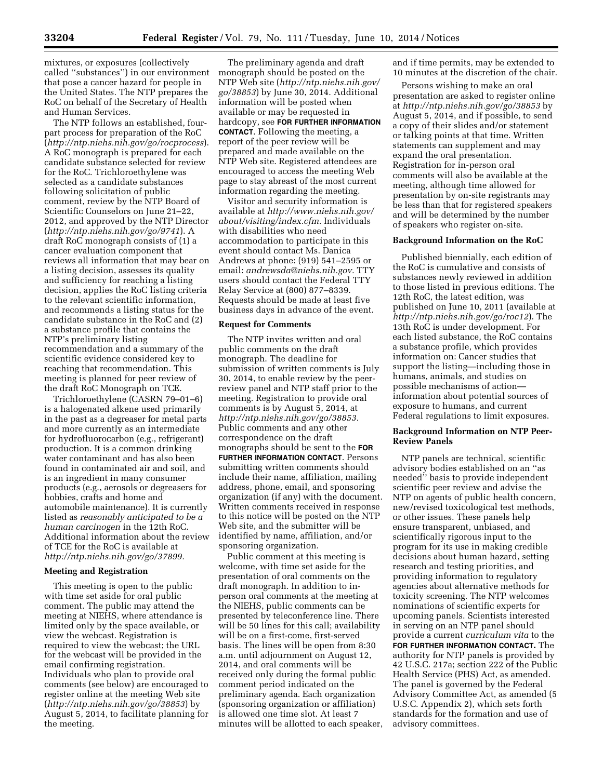mixtures, or exposures (collectively called ''substances'') in our environment that pose a cancer hazard for people in the United States. The NTP prepares the RoC on behalf of the Secretary of Health and Human Services.

The NTP follows an established, fourpart process for preparation of the RoC (*<http://ntp.niehs.nih.gov/go/rocprocess>*). A RoC monograph is prepared for each candidate substance selected for review for the RoC. Trichloroethylene was selected as a candidate substances following solicitation of public comment, review by the NTP Board of Scientific Counselors on June 21–22, 2012, and approved by the NTP Director (*<http://ntp.niehs.nih.gov/go/9741>*). A draft RoC monograph consists of (1) a cancer evaluation component that reviews all information that may bear on a listing decision, assesses its quality and sufficiency for reaching a listing decision, applies the RoC listing criteria to the relevant scientific information, and recommends a listing status for the candidate substance in the RoC and (2) a substance profile that contains the NTP's preliminary listing recommendation and a summary of the scientific evidence considered key to reaching that recommendation. This meeting is planned for peer review of the draft RoC Monograph on TCE.

Trichloroethylene (CASRN 79–01–6) is a halogenated alkene used primarily in the past as a degreaser for metal parts and more currently as an intermediate for hydrofluorocarbon (e.g., refrigerant) production. It is a common drinking water contaminant and has also been found in contaminated air and soil, and is an ingredient in many consumer products (e.g., aerosols or degreasers for hobbies, crafts and home and automobile maintenance). It is currently listed as *reasonably anticipated to be a human carcinogen* in the 12th RoC. Additional information about the review of TCE for the RoC is available at *[http://ntp.niehs.nih.gov/go/37899.](http://ntp.niehs.nih.gov/go/37899)* 

#### **Meeting and Registration**

This meeting is open to the public with time set aside for oral public comment. The public may attend the meeting at NIEHS, where attendance is limited only by the space available, or view the webcast. Registration is required to view the webcast; the URL for the webcast will be provided in the email confirming registration. Individuals who plan to provide oral comments (see below) are encouraged to register online at the meeting Web site (*<http://ntp.niehs.nih.gov/go/38853>*) by August 5, 2014, to facilitate planning for the meeting.

The preliminary agenda and draft monograph should be posted on the NTP Web site (*[http://ntp.niehs.nih.gov/](http://ntp.niehs.nih.gov/go/38853)  [go/38853](http://ntp.niehs.nih.gov/go/38853)*) by June 30, 2014. Additional information will be posted when available or may be requested in hardcopy, see **FOR FURTHER INFORMATION CONTACT**. Following the meeting, a report of the peer review will be prepared and made available on the NTP Web site. Registered attendees are encouraged to access the meeting Web page to stay abreast of the most current information regarding the meeting.

Visitor and security information is available at *[http://www.niehs.nih.gov/](http://www.niehs.nih.gov/about/visiting/index.cfm) [about/visiting/index.cfm.](http://www.niehs.nih.gov/about/visiting/index.cfm)* Individuals with disabilities who need accommodation to participate in this event should contact Ms. Danica Andrews at phone: (919) 541–2595 or email: *[andrewsda@niehs.nih.gov.](mailto:andrewsda@niehs.nih.gov)* TTY users should contact the Federal TTY Relay Service at (800) 877–8339. Requests should be made at least five business days in advance of the event.

#### **Request for Comments**

The NTP invites written and oral public comments on the draft monograph. The deadline for submission of written comments is July 30, 2014, to enable review by the peerreview panel and NTP staff prior to the meeting. Registration to provide oral comments is by August 5, 2014, at *[http://ntp.niehs.nih.gov/go/38853.](http://ntp.niehs.nih.gov/go/38853)*  Public comments and any other correspondence on the draft monographs should be sent to the **FOR FURTHER INFORMATION CONTACT**. Persons submitting written comments should include their name, affiliation, mailing address, phone, email, and sponsoring organization (if any) with the document. Written comments received in response to this notice will be posted on the NTP Web site, and the submitter will be identified by name, affiliation, and/or sponsoring organization.

Public comment at this meeting is welcome, with time set aside for the presentation of oral comments on the draft monograph. In addition to inperson oral comments at the meeting at the NIEHS, public comments can be presented by teleconference line. There will be 50 lines for this call; availability will be on a first-come, first-served basis. The lines will be open from 8:30 a.m. until adjournment on August 12, 2014, and oral comments will be received only during the formal public comment period indicated on the preliminary agenda. Each organization (sponsoring organization or affiliation) is allowed one time slot. At least 7 minutes will be allotted to each speaker, and if time permits, may be extended to 10 minutes at the discretion of the chair.

Persons wishing to make an oral presentation are asked to register online at *<http://ntp.niehs.nih.gov/go/38853>*by August 5, 2014, and if possible, to send a copy of their slides and/or statement or talking points at that time. Written statements can supplement and may expand the oral presentation. Registration for in-person oral comments will also be available at the meeting, although time allowed for presentation by on-site registrants may be less than that for registered speakers and will be determined by the number of speakers who register on-site.

#### **Background Information on the RoC**

Published biennially, each edition of the RoC is cumulative and consists of substances newly reviewed in addition to those listed in previous editions. The 12th RoC, the latest edition, was published on June 10, 2011 (available at *<http://ntp.niehs.nih.gov/go/roc12>*). The 13th RoC is under development. For each listed substance, the RoC contains a substance profile, which provides information on: Cancer studies that support the listing—including those in humans, animals, and studies on possible mechanisms of action information about potential sources of exposure to humans, and current Federal regulations to limit exposures.

# **Background Information on NTP Peer-Review Panels**

NTP panels are technical, scientific advisory bodies established on an ''as needed'' basis to provide independent scientific peer review and advise the NTP on agents of public health concern, new/revised toxicological test methods, or other issues. These panels help ensure transparent, unbiased, and scientifically rigorous input to the program for its use in making credible decisions about human hazard, setting research and testing priorities, and providing information to regulatory agencies about alternative methods for toxicity screening. The NTP welcomes nominations of scientific experts for upcoming panels. Scientists interested in serving on an NTP panel should provide a current *curriculum vita* to the **FOR FURTHER INFORMATION CONTACT.** The authority for NTP panels is provided by 42 U.S.C. 217a; section 222 of the Public Health Service (PHS) Act, as amended. The panel is governed by the Federal Advisory Committee Act, as amended (5 U.S.C. Appendix 2), which sets forth standards for the formation and use of advisory committees.